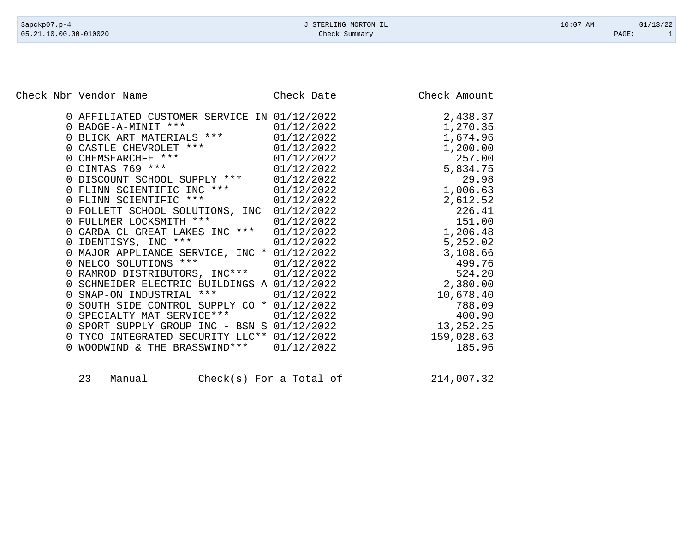Check Nbr Vendor Name Check Date Check Date Check Amount

|          | 0 AFFILIATED CUSTOMER SERVICE IN 01/12/2022                                               |            | 2,438.37   |
|----------|-------------------------------------------------------------------------------------------|------------|------------|
|          | BADGE-A-MINIT *** 01/12/2022<br>BLICK ART MATERIALS *** 01/12/2022<br>0 BADGE-A-MINIT *** |            | 1,270.35   |
|          |                                                                                           |            | 1,674.96   |
| $\Omega$ |                                                                                           | 01/12/2022 | 1,200.00   |
|          | CASTLE CHEVROLET ***<br>CHEMSEARCHFE ***<br>CINTAS 769 ***                                | 01/12/2022 | 257.00     |
|          | 0 CINTAS 769 ***                                                                          | 01/12/2022 | 5,834.75   |
|          | DISCOUNT SCHOOL SUPPLY *** 01/12/2022                                                     |            | 29.98      |
|          | 0 FLINN SCIENTIFIC INC ***                                                                | 01/12/2022 | 1,006.63   |
| 0        | FLINN SCIENTIFIC ***                                                                      | 01/12/2022 | 2,612.52   |
|          | 0 FOLLETT SCHOOL SOLUTIONS, INC                                                           | 01/12/2022 | 226.41     |
|          | 0 FULLMER LOCKSMITH ***                                                                   | 01/12/2022 | 151.00     |
|          | GARDA CL GREAT LAKES INC *** 01/12/2022                                                   |            | 1,206.48   |
|          | 0 IDENTISYS, INC ***                                                                      | 01/12/2022 | 5,252.02   |
|          | 0 MAJOR APPLIANCE SERVICE, INC * 01/12/2022                                               |            | 3,108.66   |
|          | NELCO SOLUTIONS ***                                                                       | 01/12/2022 | 499.76     |
| 0        | RAMROD DISTRIBUTORS, INC*** 01/12/2022                                                    |            | 524.20     |
|          | SCHNEIDER ELECTRIC BUILDINGS A 01/12/2022                                                 |            | 2,380.00   |
| $\Omega$ | $***$<br>SNAP-ON INDUSTRIAL                                                               | 01/12/2022 | 10,678.40  |
| $\Omega$ | SOUTH SIDE CONTROL SUPPLY CO * 01/12/2022                                                 |            | 788.09     |
|          | 0 SPECIALTY MAT SERVICE ***                                                               | 01/12/2022 | 400.90     |
| 0        | SPORT SUPPLY GROUP INC - BSN S 01/12/2022                                                 |            | 13,252.25  |
|          | TYCO INTEGRATED SECURITY LLC** 01/12/2022                                                 |            | 159,028.63 |
|          | WOODWIND & THE BRASSWIND ***                                                              | 01/12/2022 | 185.96     |
|          |                                                                                           |            |            |

23 Manual Check(s) For a Total of 214,007.32